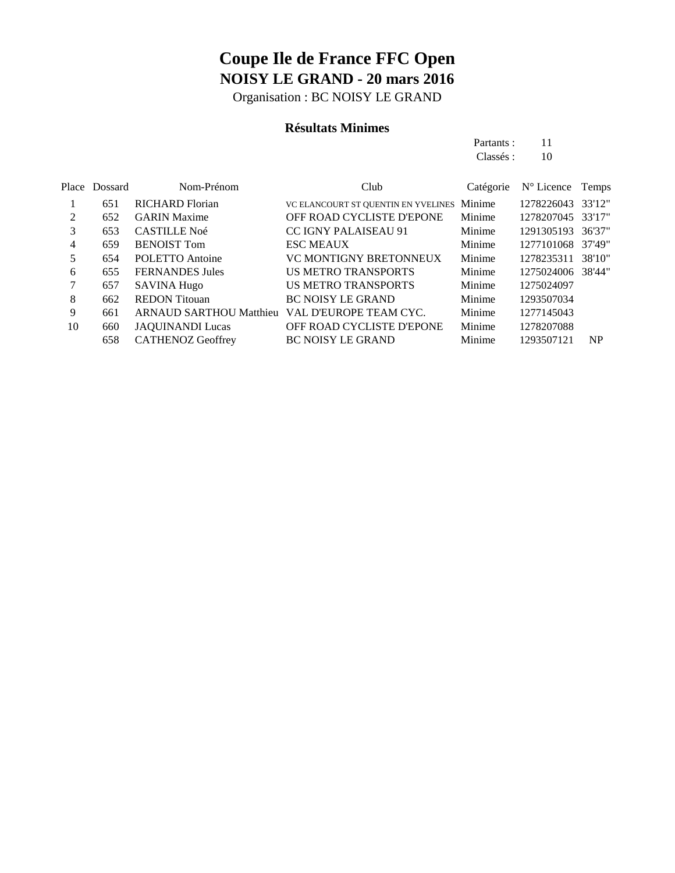Organisation : BC NOISY LE GRAND

### **Résultats Minimes**

| Partants: | 11 |
|-----------|----|
| Classés : | 10 |

|    | Place Dossard | Nom-Prénom                     | Club                                | Catégorie | $N^{\circ}$ Licence | Temps  |
|----|---------------|--------------------------------|-------------------------------------|-----------|---------------------|--------|
|    | 651           | <b>RICHARD Florian</b>         | VC ELANCOURT ST QUENTIN EN YVELINES | Minime    | 1278226043          | 33'12" |
| 2  | 652           | <b>GARIN</b> Maxime            | OFF ROAD CYCLISTE D'EPONE           | Minime    | 1278207045          | 33'17" |
| 3  | 653           | <b>CASTILLE Noé</b>            | <b>CC IGNY PALAISEAU 91</b>         | Minime    | 1291305193          | 36'37" |
| 4  | 659           | <b>BENOIST Tom</b>             | <b>ESC MEAUX</b>                    | Minime    | 1277101068          | 37'49" |
| 5  | 654           | POLETTO Antoine                | <b>VC MONTIGNY BRETONNEUX</b>       | Minime    | 1278235311          | 38'10" |
| 6  | 655           | <b>FERNANDES Jules</b>         | <b>US METRO TRANSPORTS</b>          | Minime    | 1275024006          | 38'44" |
|    | 657           | <b>SAVINA Hugo</b>             | <b>US METRO TRANSPORTS</b>          | Minime    | 1275024097          |        |
| 8  | 662           | <b>REDON</b> Titouan           | <b>BC NOISY LE GRAND</b>            | Minime    | 1293507034          |        |
| 9  | 661           | <b>ARNAUD SARTHOU Matthieu</b> | VAL D'EUROPE TEAM CYC.              | Minime    | 1277145043          |        |
| 10 | 660           | <b>JAQUINANDI Lucas</b>        | OFF ROAD CYCLISTE D'EPONE           | Minime    | 1278207088          |        |
|    | 658           | <b>CATHENOZ Geoffrey</b>       | <b>BC NOISY LE GRAND</b>            | Minime    | 1293507121          | NP     |
|    |               |                                |                                     |           |                     |        |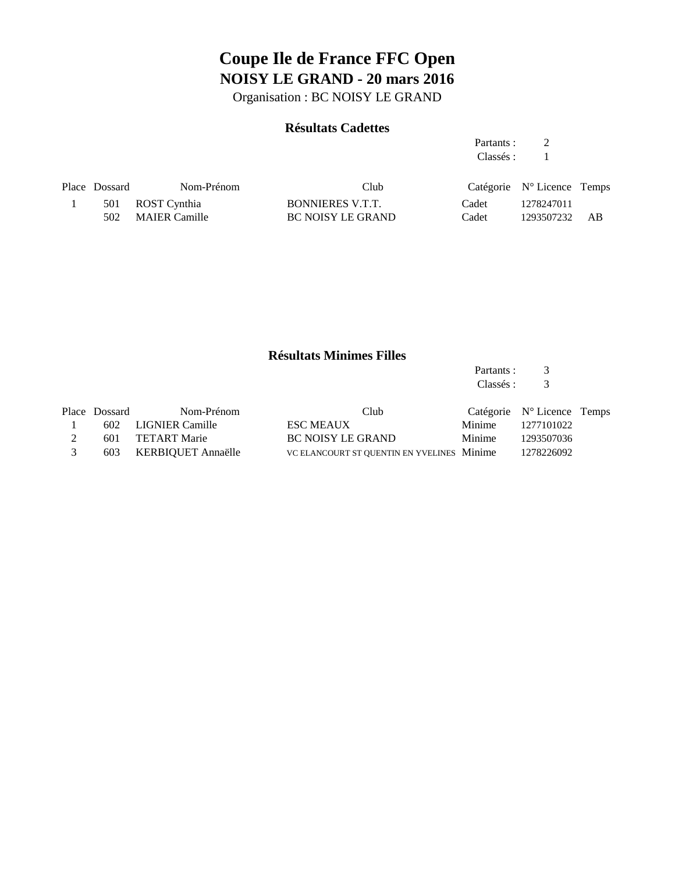Organisation : BC NOISY LE GRAND

### **Résultats Cadettes**

Partants : 2 Classés : 1

| Place Dossard | Nom-Prénom        | Club              |       | Catégorie $N^{\circ}$ Licence Temps |      |
|---------------|-------------------|-------------------|-------|-------------------------------------|------|
|               | 501 ROST Cynthia  | BONNIERES V.T.T.  | Cadet | 1278247011                          |      |
|               | 502 MAIER Camille | BC NOISY LE GRAND | Cadet | 1293507232                          | – AB |

### **Résultats Minimes Filles**

Partants : 3<br>Classés : 3 Classés :

|   | Place Dossard | Nom-Prénom             | Club                                       |               | Catégorie $N^{\circ}$ Licence Temps |  |
|---|---------------|------------------------|--------------------------------------------|---------------|-------------------------------------|--|
|   |               | 602 LIGNIER Camille    | <b>ESC MEAUX</b>                           |               | Minime 1277101022                   |  |
|   |               | 601 TETART Marie       | BC NOISY LE GRAND                          | <b>Minime</b> | 1293507036                          |  |
| 3 |               | 603 KERBIOUET Annaëlle | VC ELANCOURT ST QUENTIN EN YVELINES Minime |               | 1278226092                          |  |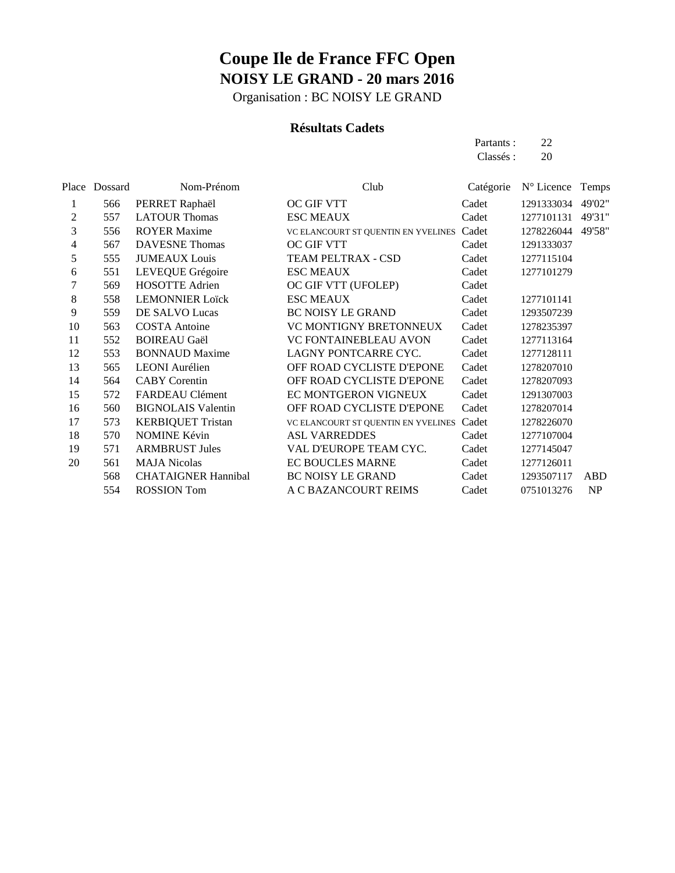Organisation : BC NOISY LE GRAND

### **Résultats Cadets**

| Partants: | 22 |
|-----------|----|
| Classés : | 20 |

| Place | Dossard | Nom-Prénom                 | Club                                      | Catégorie | N° Licence | Temps      |
|-------|---------|----------------------------|-------------------------------------------|-----------|------------|------------|
| 1     | 566     | PERRET Raphaël             | OC GIF VTT                                | Cadet     | 1291333034 | 49'02"     |
| 2     | 557     | <b>LATOUR Thomas</b>       | <b>ESC MEAUX</b>                          | Cadet     | 1277101131 | 49'31"     |
| 3     | 556     | <b>ROYER Maxime</b>        | VC ELANCOURT ST QUENTIN EN YVELINES Cadet |           | 1278226044 | 49'58"     |
| 4     | 567     | <b>DAVESNE</b> Thomas      | <b>OC GIF VTT</b>                         | Cadet     | 1291333037 |            |
| 5     | 555     | <b>JUMEAUX</b> Louis       | TEAM PELTRAX - CSD                        | Cadet     | 1277115104 |            |
| 6     | 551     | LEVEQUE Grégoire           | <b>ESC MEAUX</b>                          | Cadet     | 1277101279 |            |
| 7     | 569     | <b>HOSOTTE Adrien</b>      | OC GIF VTT (UFOLEP)                       | Cadet     |            |            |
| 8     | 558     | <b>LEMONNIER Loïck</b>     | <b>ESC MEAUX</b>                          | Cadet     | 1277101141 |            |
| 9     | 559     | DE SALVO Lucas             | <b>BC NOISY LE GRAND</b>                  | Cadet     | 1293507239 |            |
| 10    | 563     | <b>COSTA</b> Antoine       | <b>VC MONTIGNY BRETONNEUX</b>             | Cadet     | 1278235397 |            |
| 11    | 552     | <b>BOIREAU Gaël</b>        | VC FONTAINEBLEAU AVON                     | Cadet     | 1277113164 |            |
| 12    | 553     | <b>BONNAUD</b> Maxime      | LAGNY PONTCARRE CYC.                      | Cadet     | 1277128111 |            |
| 13    | 565     | <b>LEONI</b> Aurélien      | OFF ROAD CYCLISTE D'EPONE                 | Cadet     | 1278207010 |            |
| 14    | 564     | <b>CABY</b> Corentin       | OFF ROAD CYCLISTE D'EPONE                 | Cadet     | 1278207093 |            |
| 15    | 572     | FARDEAU Clément            | EC MONTGERON VIGNEUX                      | Cadet     | 1291307003 |            |
| 16    | 560     | <b>BIGNOLAIS Valentin</b>  | OFF ROAD CYCLISTE D'EPONE                 | Cadet     | 1278207014 |            |
| 17    | 573     | <b>KERBIQUET Tristan</b>   | VC ELANCOURT ST QUENTIN EN YVELINES Cadet |           | 1278226070 |            |
| 18    | 570     | <b>NOMINE Kévin</b>        | <b>ASL VARREDDES</b>                      | Cadet     | 1277107004 |            |
| 19    | 571     | <b>ARMBRUST Jules</b>      | VAL D'EUROPE TEAM CYC.                    | Cadet     | 1277145047 |            |
| 20    | 561     | <b>MAJA Nicolas</b>        | EC BOUCLES MARNE                          | Cadet     | 1277126011 |            |
|       | 568     | <b>CHATAIGNER Hannibal</b> | BC NOISY LE GRAND                         | Cadet     | 1293507117 | <b>ABD</b> |
|       | 554     | <b>ROSSION</b> Tom         | A C BAZANCOURT REIMS                      | Cadet     | 0751013276 | <b>NP</b>  |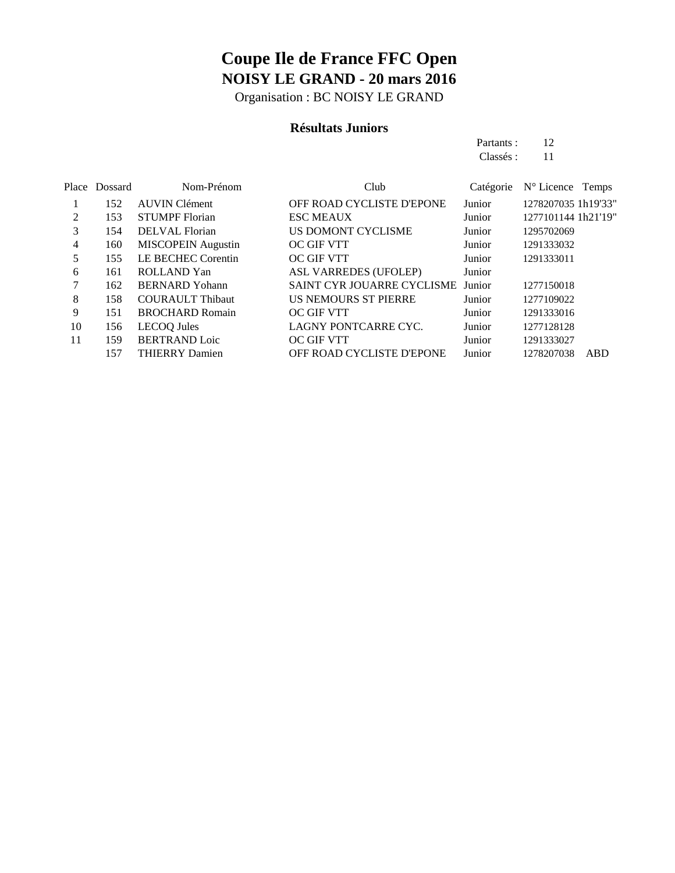Organisation : BC NOISY LE GRAND

### **Résultats Juniors**

Partants : 12 Classés : 11

|    | Place Dossard | Nom-Prénom                | Club                              | Catégorie | N° Licence Temps    |     |
|----|---------------|---------------------------|-----------------------------------|-----------|---------------------|-----|
|    | 152           | <b>AUVIN Clément</b>      | OFF ROAD CYCLISTE D'EPONE         | Junior    | 1278207035 1h19'33" |     |
| 2  | 153           | <b>STUMPF</b> Florian     | <b>ESC MEAUX</b>                  | Junior    | 1277101144 1h21'19" |     |
| 3  | 154           | DELVAL Florian            | US DOMONT CYCLISME                | Junior    | 1295702069          |     |
| 4  | 160           | <b>MISCOPEIN</b> Augustin | OC GIF VTT                        | Junior    | 1291333032          |     |
| 5  | 155           | LE BECHEC Corentin        | <b>OC GIF VTT</b>                 | Junior    | 1291333011          |     |
| 6  | 161           | <b>ROLLAND</b> Yan        | ASL VARREDES (UFOLEP)             | Junior    |                     |     |
|    | 162           | <b>BERNARD</b> Yohann     | SAINT CYR JOUARRE CYCLISME Junior |           | 1277150018          |     |
| 8  | 158           | <b>COURAULT Thibaut</b>   | <b>US NEMOURS ST PIERRE</b>       | Junior    | 1277109022          |     |
| 9  | 151           | <b>BROCHARD Romain</b>    | OC GIF VTT                        | Junior    | 1291333016          |     |
| 10 | 156           | <b>LECOQ</b> Jules        | LAGNY PONTCARRE CYC.              | Junior    | 1277128128          |     |
| 11 | 159           | <b>BERTRAND Loic</b>      | OC GIF VTT                        | Junior    | 1291333027          |     |
|    | 157           | <b>THIERRY Damien</b>     | OFF ROAD CYCLISTE D'EPONE         | Junior    | 1278207038          | ABD |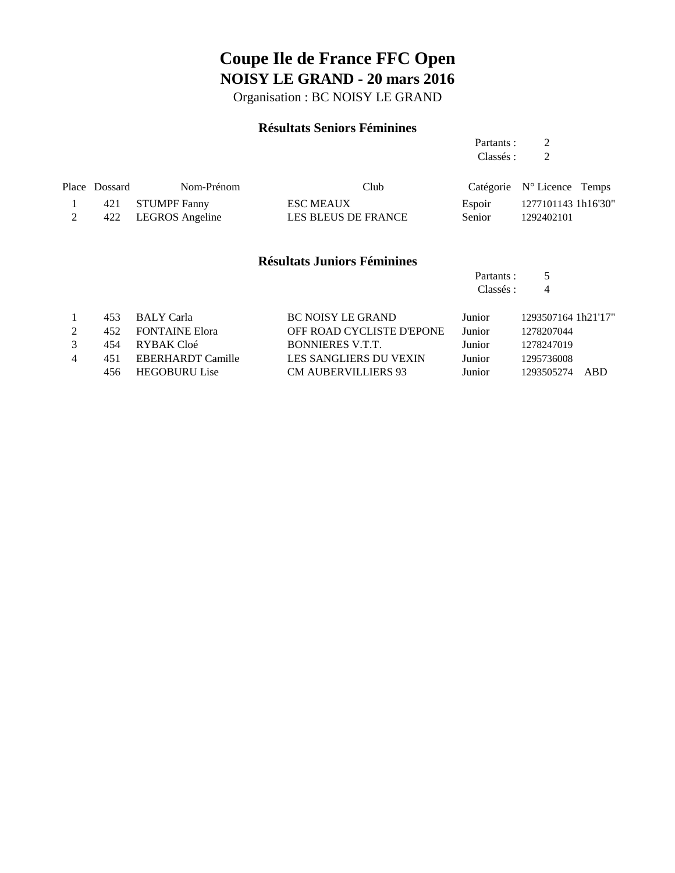Organisation : BC NOISY LE GRAND

### **Résultats Seniors Féminines**

Partants : 2 Classés : 2

| Place Dossard | Nom-Prénom          | Club                |        | Catégorie $N^{\circ}$ Licence Temps |
|---------------|---------------------|---------------------|--------|-------------------------------------|
|               | 421 STUMPF Fanny    | <b>ESC MEAUX</b>    |        | Espoir 1277101143 1h16'30"          |
|               | 422 LEGROS Angeline | LES BLEUS DE FRANCE | Senior | 1292402101                          |

#### **Résultats Juniors Féminines**

| Partants: | 5 |
|-----------|---|
| Classés : | Δ |

|   | 453 | BALY Carla           | <b>BC NOISY LE GRAND</b>   | Junior        | 1293507164 1h21'17" |
|---|-----|----------------------|----------------------------|---------------|---------------------|
|   |     | 452 FONTAINE Elora   | OFF ROAD CYCLISTE D'EPONE  | <b>Junior</b> | 1278207044          |
|   | 454 | RYBAK Cloé           | <b>BONNIERES V.T.T.</b>    | Junior        | 1278247019          |
| 4 | 451 | EBERHARDT Camille    | LES SANGLIERS DU VEXIN     | Junior        | 1295736008          |
|   | 456 | <b>HEGOBURU Lise</b> | <b>CM AUBERVILLIERS 93</b> | Junior        | 1293505274 ABD      |
|   |     |                      |                            |               |                     |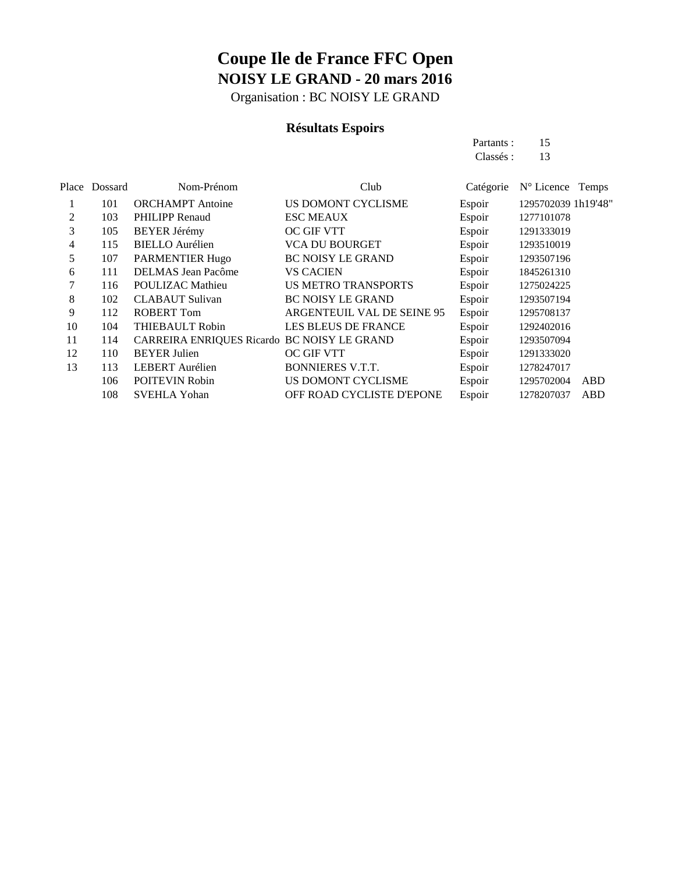Organisation : BC NOISY LE GRAND

### **Résultats Espoirs**

Partants : 15 Classés: 13

|    | Place Dossard | Nom-Prénom                                  | Club                       | Catégorie | N° Licence Temps    |     |
|----|---------------|---------------------------------------------|----------------------------|-----------|---------------------|-----|
|    | 101           | <b>ORCHAMPT</b> Antoine                     | US DOMONT CYCLISME         | Espoir    | 1295702039 1h19'48" |     |
| 2  | 103           | <b>PHILIPP Renaud</b>                       | <b>ESC MEAUX</b>           | Espoir    | 1277101078          |     |
| 3  | 105           | <b>BEYER Jérémy</b>                         | OC GIF VTT                 | Espoir    | 1291333019          |     |
| 4  | 115           | <b>BIELLO</b> Aurélien                      | <b>VCA DU BOURGET</b>      | Espoir    | 1293510019          |     |
| 5  | 107           | PARMENTIER Hugo                             | <b>BC NOISY LE GRAND</b>   | Espoir    | 1293507196          |     |
| 6  | 111           | <b>DELMAS</b> Jean Pacôme                   | <b>VS CACIEN</b>           | Espoir    | 1845261310          |     |
|    | 116           | POULIZAC Mathieu                            | <b>US METRO TRANSPORTS</b> | Espoir    | 1275024225          |     |
| 8  | 102           | <b>CLABAUT</b> Sulivan                      | <b>BC NOISY LE GRAND</b>   | Espoir    | 1293507194          |     |
| 9  | 112           | <b>ROBERT Tom</b>                           | ARGENTEUIL VAL DE SEINE 95 | Espoir    | 1295708137          |     |
| 10 | 104           | <b>THIEBAULT Robin</b>                      | <b>LES BLEUS DE FRANCE</b> | Espoir    | 1292402016          |     |
| 11 | 114           | CARREIRA ENRIQUES Ricardo BC NOISY LE GRAND |                            | Espoir    | 1293507094          |     |
| 12 | 110           | <b>BEYER Julien</b>                         | <b>OC GIF VTT</b>          | Espoir    | 1291333020          |     |
| 13 | 113           | <b>LEBERT</b> Aurélien                      | <b>BONNIERES V.T.T.</b>    | Espoir    | 1278247017          |     |
|    | 106           | <b>POITEVIN Robin</b>                       | US DOMONT CYCLISME         | Espoir    | 1295702004          | ABD |
|    | 108           | <b>SVEHLA Yohan</b>                         | OFF ROAD CYCLISTE D'EPONE  | Espoir    | 1278207037          | ABD |
|    |               |                                             |                            |           |                     |     |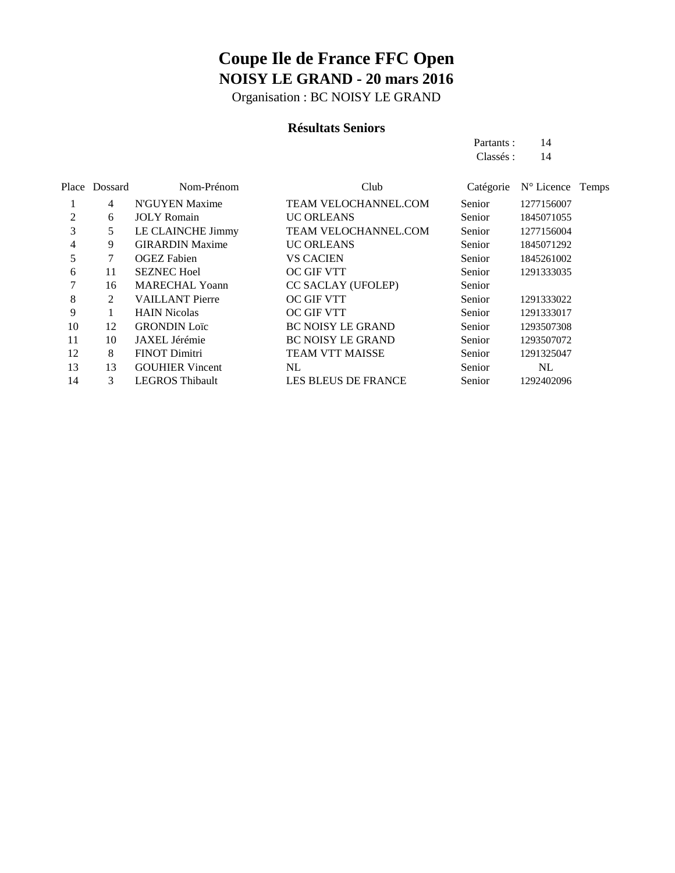Organisation : BC NOISY LE GRAND

### **Résultats Seniors**

Partants : 14 Classés: 14

|    | Place Dossard | Nom-Prénom             | Club                        | Catégorie | N° Licence Temps |
|----|---------------|------------------------|-----------------------------|-----------|------------------|
|    | 4             | N'GUYEN Maxime         | <b>TEAM VELOCHANNEL.COM</b> | Senior    | 1277156007       |
| 2  | 6             | <b>JOLY</b> Romain     | <b>UC ORLEANS</b>           | Senior    | 1845071055       |
| 3  | 5             | LE CLAINCHE Jimmy      | <b>TEAM VELOCHANNEL.COM</b> | Senior    | 1277156004       |
| 4  | 9             | <b>GIRARDIN Maxime</b> | <b>UC ORLEANS</b>           | Senior    | 1845071292       |
| 5  |               | <b>OGEZ</b> Fabien     | <b>VS CACIEN</b>            | Senior    | 1845261002       |
| 6  | 11            | <b>SEZNEC Hoel</b>     | OC GIF VTT                  | Senior    | 1291333035       |
|    | 16            | <b>MARECHAL Yoann</b>  | <b>CC SACLAY (UFOLEP)</b>   | Senior    |                  |
| 8  | 2             | <b>VAILLANT Pierre</b> | <b>OC GIF VTT</b>           | Senior    | 1291333022       |
| 9  |               | <b>HAIN Nicolas</b>    | <b>OC GIF VTT</b>           | Senior    | 1291333017       |
| 10 | 12            | <b>GRONDIN</b> Loïc    | <b>BC NOISY LE GRAND</b>    | Senior    | 1293507308       |
| 11 | 10            | JAXEL Jérémie          | <b>BC NOISY LE GRAND</b>    | Senior    | 1293507072       |
| 12 | 8             | <b>FINOT Dimitri</b>   | TEAM VTT MAISSE             | Senior    | 1291325047       |
| 13 | 13            | <b>GOUHIER Vincent</b> | NL                          | Senior    | NL               |
| 14 | 3             | <b>LEGROS Thibault</b> | <b>LES BLEUS DE FRANCE</b>  | Senior    | 1292402096       |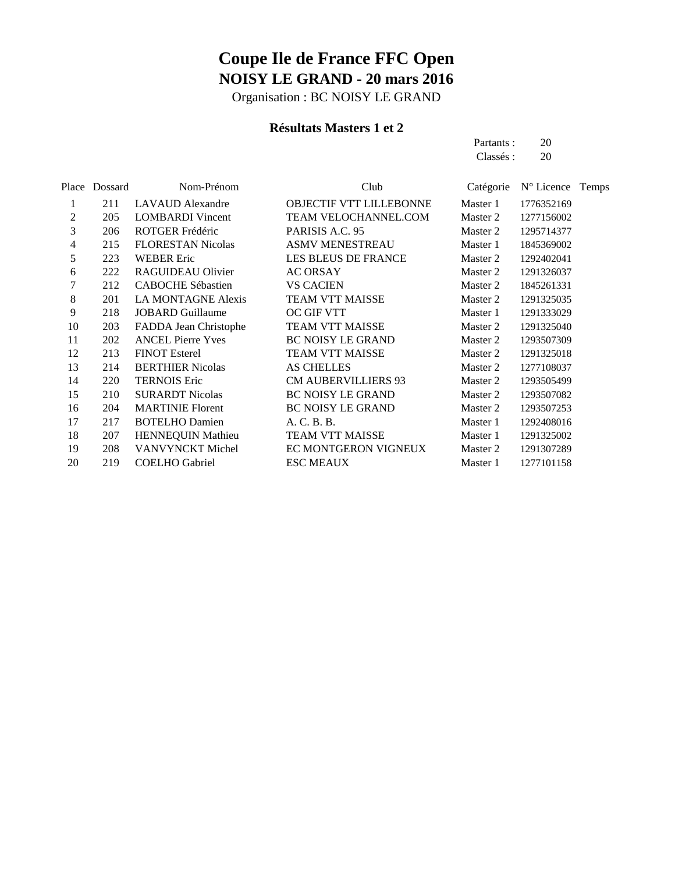Organisation : BC NOISY LE GRAND

### **Résultats Masters 1 et 2**

Partants : 20 Classés : 20

|    | Place Dossard | Nom-Prénom                | Club                           | Catégorie | $N^{\circ}$ Licence Temps |  |
|----|---------------|---------------------------|--------------------------------|-----------|---------------------------|--|
| 1  | 211           | <b>LAVAUD</b> Alexandre   | <b>OBJECTIF VTT LILLEBONNE</b> | Master 1  | 1776352169                |  |
| 2  | 205           | <b>LOMBARDI</b> Vincent   | TEAM VELOCHANNEL.COM           | Master 2  | 1277156002                |  |
| 3  | 206           | ROTGER Frédéric           | PARISIS A.C. 95                | Master 2  | 1295714377                |  |
| 4  | 215           | <b>FLORESTAN Nicolas</b>  | <b>ASMV MENESTREAU</b>         | Master 1  | 1845369002                |  |
| 5  | 223           | <b>WEBER Eric</b>         | LES BLEUS DE FRANCE            | Master 2  | 1292402041                |  |
| 6  | 222           | RAGUIDEAU Olivier         | <b>AC ORSAY</b>                | Master 2  | 1291326037                |  |
| 7  | 212           | <b>CABOCHE Sébastien</b>  | <b>VS CACIEN</b>               | Master 2  | 1845261331                |  |
| 8  | 201           | <b>LA MONTAGNE Alexis</b> | <b>TEAM VTT MAISSE</b>         | Master 2  | 1291325035                |  |
| 9  | 218           | <b>JOBARD Guillaume</b>   | OC GIF VTT                     | Master 1  | 1291333029                |  |
| 10 | 203           | FADDA Jean Christophe     | <b>TEAM VTT MAISSE</b>         | Master 2  | 1291325040                |  |
| 11 | 202           | <b>ANCEL Pierre Yves</b>  | <b>BC NOISY LE GRAND</b>       | Master 2  | 1293507309                |  |
| 12 | 213           | <b>FINOT Esterel</b>      | <b>TEAM VTT MAISSE</b>         | Master 2  | 1291325018                |  |
| 13 | 214           | <b>BERTHIER Nicolas</b>   | <b>AS CHELLES</b>              | Master 2  | 1277108037                |  |
| 14 | 220           | <b>TERNOIS Eric</b>       | <b>CM AUBERVILLIERS 93</b>     | Master 2  | 1293505499                |  |
| 15 | 210           | <b>SURARDT Nicolas</b>    | <b>BC NOISY LE GRAND</b>       | Master 2  | 1293507082                |  |
| 16 | 204           | <b>MARTINIE Florent</b>   | <b>BC NOISY LE GRAND</b>       | Master 2  | 1293507253                |  |
| 17 | 217           | <b>BOTELHO Damien</b>     | A. C. B. B.                    | Master 1  | 1292408016                |  |
| 18 | 207           | <b>HENNEQUIN Mathieu</b>  | TEAM VTT MAISSE                | Master 1  | 1291325002                |  |
| 19 | 208           | VANVYNCKT Michel          | EC MONTGERON VIGNEUX           | Master 2  | 1291307289                |  |
| 20 | 219           | <b>COELHO</b> Gabriel     | <b>ESC MEAUX</b>               | Master 1  | 1277101158                |  |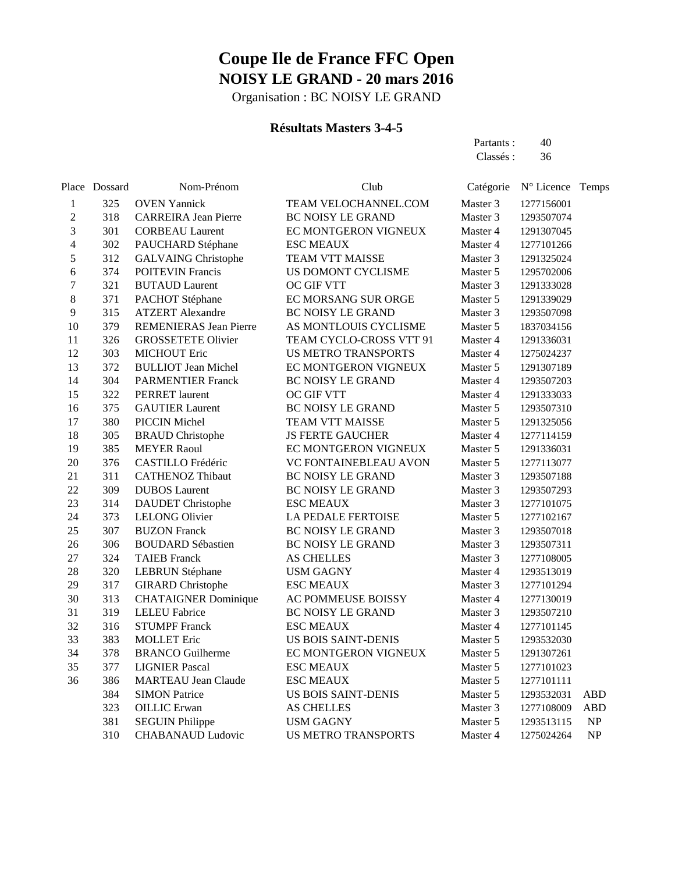Organisation : BC NOISY LE GRAND

### **Résultats Masters 3-4-5**

Partants : 40 Classés: 36

|                         | Place Dossard | Nom-Prénom                    | Club                       | Catégorie | N° Licence Temps |                                   |
|-------------------------|---------------|-------------------------------|----------------------------|-----------|------------------|-----------------------------------|
| 1                       | 325           | <b>OVEN Yannick</b>           | TEAM VELOCHANNEL.COM       | Master 3  | 1277156001       |                                   |
| $\overline{\mathbf{c}}$ | 318           | <b>CARREIRA Jean Pierre</b>   | <b>BC NOISY LE GRAND</b>   | Master 3  | 1293507074       |                                   |
| 3                       | 301           | <b>CORBEAU Laurent</b>        | EC MONTGERON VIGNEUX       | Master 4  | 1291307045       |                                   |
| 4                       | 302           | PAUCHARD Stéphane             | <b>ESC MEAUX</b>           | Master 4  | 1277101266       |                                   |
| 5                       | 312           | <b>GALVAING Christophe</b>    | TEAM VTT MAISSE            | Master 3  | 1291325024       |                                   |
| 6                       | 374           | <b>POITEVIN Francis</b>       | US DOMONT CYCLISME         | Master 5  | 1295702006       |                                   |
| 7                       | 321           | <b>BUTAUD</b> Laurent         | OC GIF VTT                 | Master 3  | 1291333028       |                                   |
| 8                       | 371           | PACHOT Stéphane               | EC MORSANG SUR ORGE        | Master 5  | 1291339029       |                                   |
| 9                       | 315           | <b>ATZERT</b> Alexandre       | <b>BC NOISY LE GRAND</b>   | Master 3  | 1293507098       |                                   |
| 10                      | 379           | <b>REMENIERAS Jean Pierre</b> | AS MONTLOUIS CYCLISME      | Master 5  | 1837034156       |                                   |
| 11                      | 326           | <b>GROSSETETE Olivier</b>     | TEAM CYCLO-CROSS VTT 91    | Master 4  | 1291336031       |                                   |
| 12                      | 303           | <b>MICHOUT Eric</b>           | <b>US METRO TRANSPORTS</b> | Master 4  | 1275024237       |                                   |
| 13                      | 372           | <b>BULLIOT</b> Jean Michel    | EC MONTGERON VIGNEUX       | Master 5  | 1291307189       |                                   |
| 14                      | 304           | <b>PARMENTIER Franck</b>      | BC NOISY LE GRAND          | Master 4  | 1293507203       |                                   |
| 15                      | 322           | <b>PERRET</b> laurent         | OC GIF VTT                 | Master 4  | 1291333033       |                                   |
| 16                      | 375           | <b>GAUTIER Laurent</b>        | BC NOISY LE GRAND          | Master 5  | 1293507310       |                                   |
| 17                      | 380           | PICCIN Michel                 | TEAM VTT MAISSE            | Master 5  | 1291325056       |                                   |
| 18                      | 305           | <b>BRAUD</b> Christophe       | <b>JS FERTE GAUCHER</b>    | Master 4  | 1277114159       |                                   |
| 19                      | 385           | <b>MEYER Raoul</b>            | EC MONTGERON VIGNEUX       | Master 5  | 1291336031       |                                   |
| 20                      | 376           | CASTILLO Frédéric             | VC FONTAINEBLEAU AVON      | Master 5  | 1277113077       |                                   |
| 21                      | 311           | <b>CATHENOZ Thibaut</b>       | BC NOISY LE GRAND          | Master 3  | 1293507188       |                                   |
| 22                      | 309           | <b>DUBOS</b> Laurent          | BC NOISY LE GRAND          | Master 3  | 1293507293       |                                   |
| 23                      | 314           | <b>DAUDET</b> Christophe      | <b>ESC MEAUX</b>           | Master 3  | 1277101075       |                                   |
| 24                      | 373           | <b>LELONG Olivier</b>         | <b>LA PEDALE FERTOISE</b>  | Master 5  | 1277102167       |                                   |
| 25                      | 307           | <b>BUZON Franck</b>           | BC NOISY LE GRAND          | Master 3  | 1293507018       |                                   |
| 26                      | 306           | <b>BOUDARD Sébastien</b>      | BC NOISY LE GRAND          | Master 3  | 1293507311       |                                   |
| 27                      | 324           | <b>TAIEB</b> Franck           | <b>AS CHELLES</b>          | Master 3  | 1277108005       |                                   |
| 28                      | 320           | <b>LEBRUN Stéphane</b>        | <b>USM GAGNY</b>           | Master 4  | 1293513019       |                                   |
| 29                      | 317           | <b>GIRARD</b> Christophe      | <b>ESC MEAUX</b>           | Master 3  | 1277101294       |                                   |
| 30                      | 313           | <b>CHATAIGNER Dominique</b>   | <b>AC POMMEUSE BOISSY</b>  | Master 4  | 1277130019       |                                   |
| 31                      | 319           | <b>LELEU Fabrice</b>          | <b>BC NOISY LE GRAND</b>   | Master 3  | 1293507210       |                                   |
| 32                      | 316           | <b>STUMPF Franck</b>          | <b>ESC MEAUX</b>           | Master 4  | 1277101145       |                                   |
| 33                      | 383           | <b>MOLLET</b> Eric            | <b>US BOIS SAINT-DENIS</b> | Master 5  | 1293532030       |                                   |
| 34                      | 378           | <b>BRANCO</b> Guilherme       | EC MONTGERON VIGNEUX       | Master 5  | 1291307261       |                                   |
| 35                      | 377           | <b>LIGNIER Pascal</b>         | <b>ESC MEAUX</b>           | Master 5  | 1277101023       |                                   |
| 36                      | 386           | <b>MARTEAU Jean Claude</b>    | <b>ESC MEAUX</b>           | Master 5  | 1277101111       |                                   |
|                         | 384           | <b>SIMON Patrice</b>          | <b>US BOIS SAINT-DENIS</b> | Master 5  | 1293532031       | <b>ABD</b>                        |
|                         | 323           | <b>OILLIC</b> Erwan           | <b>AS CHELLES</b>          | Master 3  | 1277108009       | <b>ABD</b>                        |
|                         | 381           | <b>SEGUIN Philippe</b>        | <b>USM GAGNY</b>           | Master 5  | 1293513115       | $\ensuremath{\mathbf{NP}}\xspace$ |
|                         | 310           | <b>CHABANAUD Ludovic</b>      | <b>US METRO TRANSPORTS</b> | Master 4  | 1275024264       | NP                                |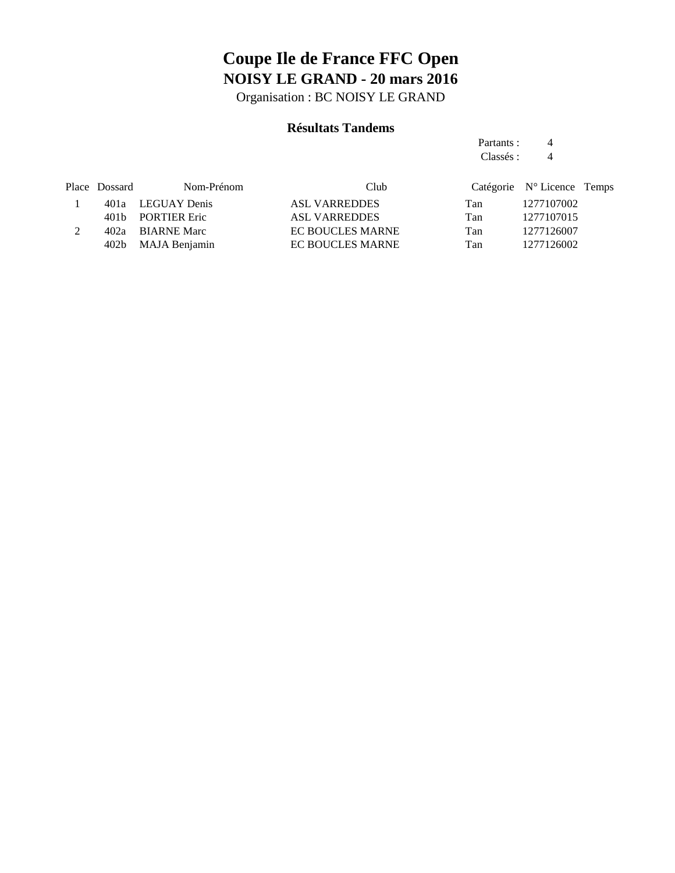Organisation : BC NOISY LE GRAND

### **Résultats Tandems**

Partants : 4 Classés : 4

| Place Dossard | Nom-Prénom | Club                                                                             |     |            |                                                        |
|---------------|------------|----------------------------------------------------------------------------------|-----|------------|--------------------------------------------------------|
|               |            | ASL VARREDDES                                                                    | Tan |            |                                                        |
|               |            | <b>ASL VARREDDES</b>                                                             | Tan |            |                                                        |
|               |            | <b>EC BOUCLES MARNE</b>                                                          | Tan | 1277126007 |                                                        |
|               |            | <b>EC BOUCLES MARNE</b>                                                          | Tan | 1277126002 |                                                        |
|               |            | 401a LEGUAY Denis<br>401b PORTIER Eric<br>402a BIARNE Marc<br>402b MAJA Benjamin |     |            | Catégorie N° Licence Temps<br>1277107002<br>1277107015 |